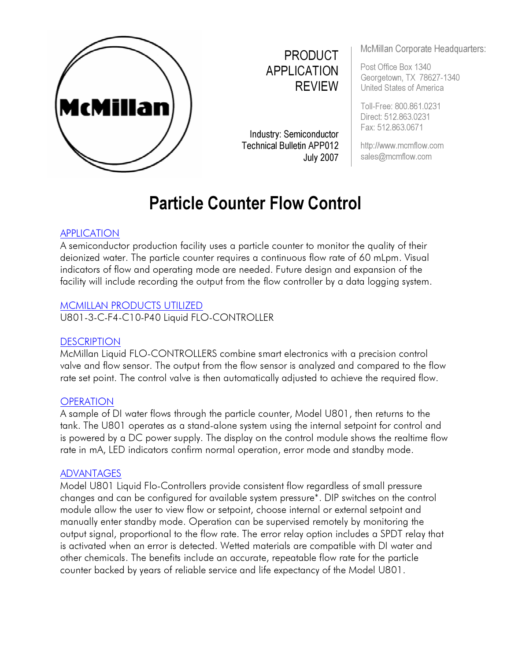

PRODUCT APPLICATION **REVIEW** 

Industry: Semiconductor **Technical Bulletin APP012** July 2007

McMillan Corporate Headquarters:

Post Office Box 1340 Georgetown, TX 78627-1340 United States of America

Toll-Free: 800.861.0231 Direct: 512. 863. 0231 Fax: 512. 863. 0671

http: //www. mcmflow. com sales@mcmflow. com

# APPLICATION

A semiconductor production facility uses a particle counter to monitor the quality of their deionized water. The particle counter requires a continuous flow rate of 60 mLpm. Visual indicators of flow and operating mode are needed. Future design and expansion of the facility will include recording the output from the flow controller by a data logging system.

Particle Counter Flow Control

### MCMILLAN PRODUCTS UTILIZED

U801-3-C-F4-C10-P40 Liquid FLO-CONTROLLER

## **DESCRIPTION**

McMillan Liquid FLO-CONTROLLERS combine smart electronics with a precision control valve and flow sensor. The output from the flow sensor is analyzed and compared to the flow rate set point. The control valve is then automatically adjusted to achieve the required flow.

## **OPERATION**

A sample of DI water flows through the particle counter, Model U801, then returns to the tank. The U801 operates as a stand-alone system using the internal setpoint for control and is powered by a DC power supply. The display on the control module shows the realtime flow rate in mA, LED indicators confirm normal operation, error mode and standby mode.

## **ADVANTAGES**

Model U801 Liquid Flo-Controllers provide consistent flow regardless of small pressure changes and can be configured for available system pressure\*. DIP switches on the control module allow the user to view flow or setpoint, choose internal or external setpoint and manually enter standby mode. Operation can be supervised remotely by monitoring the output signal, proportional to the flow rate. The error relay option includes a SPDT relay that is activated when an error is detected. Wetted materials are compatible with DI water and other chemicals. The benefits include an accurate, repeatable flow rate for the particle counter backed by years of reliable service and life expectancy of the Model U801.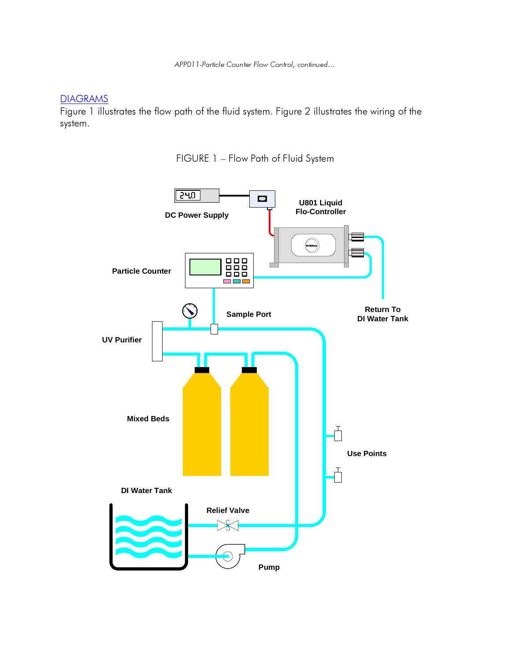APP011-Particle Counter Flow Control, continued...

**DIAGRAMS** 

Figure 1 illustrates the flow path of the fluid system. Figure 2 illustrates the wiring of the system .

FIGURE 1 - Flow Path of Fluid System